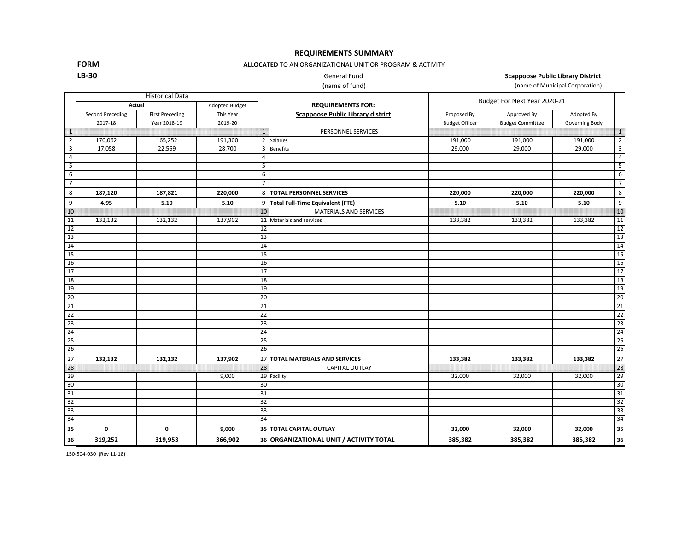# **REQUIREMENTS SUMMARY**

**FORM LB-30**

### **ALLOCATED** TO AN ORGANIZATIONAL UNIT OR PROGRAM & ACTIVITY

## General Fund **Scappoose Public Library District**

(name of fund) (name of Municipal Corporation)

|                                                                                                                                                                                                                                                                                                                                                                                                                                               | <b>Historical Data</b>   |                        |           |                          |                                          | Budget For Next Year 2020-21 |                         |                |                 |
|-----------------------------------------------------------------------------------------------------------------------------------------------------------------------------------------------------------------------------------------------------------------------------------------------------------------------------------------------------------------------------------------------------------------------------------------------|--------------------------|------------------------|-----------|--------------------------|------------------------------------------|------------------------------|-------------------------|----------------|-----------------|
|                                                                                                                                                                                                                                                                                                                                                                                                                                               | Adopted Budget<br>Actual |                        |           | <b>REQUIREMENTS FOR:</b> |                                          |                              |                         |                |                 |
|                                                                                                                                                                                                                                                                                                                                                                                                                                               | Second Preceding         | <b>First Preceding</b> | This Year |                          | <b>Scappoose Public Library district</b> | Proposed By                  | Approved By             | Adopted By     |                 |
|                                                                                                                                                                                                                                                                                                                                                                                                                                               | 2017-18                  | Year 2018-19           | 2019-20   |                          |                                          | <b>Budget Officer</b>        | <b>Budget Committee</b> | Governing Body |                 |
| $\overline{1}$                                                                                                                                                                                                                                                                                                                                                                                                                                |                          |                        |           | $\mathbf{1}$             | PERSONNEL SERVICES                       |                              |                         |                | $\mathbf{1}$    |
| $\overline{2}$                                                                                                                                                                                                                                                                                                                                                                                                                                | 170,062                  | 165,252                | 191,300   | $\overline{2}$           | Salaries                                 | 191,000                      | 191,000                 | 191,000        | $\overline{2}$  |
| $\overline{\mathbf{3}}$                                                                                                                                                                                                                                                                                                                                                                                                                       | 17,058                   | 22,569                 | 28,700    | 3                        | <b>Benefits</b>                          | 29,000                       | 29,000                  | 29,000         | $\overline{3}$  |
| $\overline{4}$                                                                                                                                                                                                                                                                                                                                                                                                                                |                          |                        |           | $\overline{4}$           |                                          |                              |                         |                | $\overline{4}$  |
| $\overline{5}$                                                                                                                                                                                                                                                                                                                                                                                                                                |                          |                        |           | 5                        |                                          |                              |                         |                | 5               |
| 6                                                                                                                                                                                                                                                                                                                                                                                                                                             |                          |                        |           | 6                        |                                          |                              |                         |                | $6\overline{6}$ |
| $\overline{7}$                                                                                                                                                                                                                                                                                                                                                                                                                                |                          |                        |           | $\overline{7}$           |                                          |                              |                         |                | $\overline{7}$  |
| 8                                                                                                                                                                                                                                                                                                                                                                                                                                             | 187,120                  | 187,821                | 220,000   | 8                        | <b>TOTAL PERSONNEL SERVICES</b>          | 220,000                      | 220,000                 | 220,000        | 8               |
| $\overline{9}$                                                                                                                                                                                                                                                                                                                                                                                                                                | 4.95                     | 5.10                   | 5.10      | 9                        | <b>Total Full-Time Equivalent (FTE)</b>  | 5.10                         | 5.10                    | 5.10           | 9               |
| $\begin{array}{c c}\n10 & 11 \\ \hline\n11 & 12 \\ \hline\n\end{array}\n\quad\n\begin{array}{c c}\n11 & 11 \\ \hline\n\end{array}\n\quad\n\begin{array}{c c}\n12 & 13 \\ \hline\n\end{array}\n\quad\n\begin{array}{c c}\n14 & 15 \\ \hline\n\end{array}\n\quad\n\begin{array}{c c}\n\hline\n\end{array}\n\end{array}\n\quad\n\begin{array}{c c}\n15 & 17 \\ \hline\n\end{array}\n\quad\n\begin{array}{c c}\n\hline\n\end{array}\n\end{array}$ |                          |                        |           | 10                       | <b>MATERIALS AND SERVICES</b>            |                              |                         |                | 10              |
|                                                                                                                                                                                                                                                                                                                                                                                                                                               | 132,132                  | 132,132                | 137,902   |                          | 11 Materials and services                | 133,382                      | 133,382                 | 133,382        | 11              |
|                                                                                                                                                                                                                                                                                                                                                                                                                                               |                          |                        |           | 12                       |                                          |                              |                         |                | 12              |
|                                                                                                                                                                                                                                                                                                                                                                                                                                               |                          |                        |           | 13                       |                                          |                              |                         |                | 13              |
|                                                                                                                                                                                                                                                                                                                                                                                                                                               |                          |                        |           | 14                       |                                          |                              |                         |                | 14              |
|                                                                                                                                                                                                                                                                                                                                                                                                                                               |                          |                        |           | 15                       |                                          |                              |                         |                | 15              |
|                                                                                                                                                                                                                                                                                                                                                                                                                                               |                          |                        |           | 16                       |                                          |                              |                         |                | 16              |
|                                                                                                                                                                                                                                                                                                                                                                                                                                               |                          |                        |           | 17                       |                                          |                              |                         |                | 17              |
|                                                                                                                                                                                                                                                                                                                                                                                                                                               |                          |                        |           | 18                       |                                          |                              |                         |                | 18              |
| 19                                                                                                                                                                                                                                                                                                                                                                                                                                            |                          |                        |           | 19                       |                                          |                              |                         |                | 19              |
|                                                                                                                                                                                                                                                                                                                                                                                                                                               |                          |                        |           | 20                       |                                          |                              |                         |                | 20              |
|                                                                                                                                                                                                                                                                                                                                                                                                                                               |                          |                        |           | 21                       |                                          |                              |                         |                | 21              |
|                                                                                                                                                                                                                                                                                                                                                                                                                                               |                          |                        |           | 22                       |                                          |                              |                         |                | 22              |
|                                                                                                                                                                                                                                                                                                                                                                                                                                               |                          |                        |           | 23                       |                                          |                              |                         |                | 23              |
|                                                                                                                                                                                                                                                                                                                                                                                                                                               |                          |                        |           | 24                       |                                          |                              |                         |                | 24              |
|                                                                                                                                                                                                                                                                                                                                                                                                                                               |                          |                        |           | 25                       |                                          |                              |                         |                | 25              |
|                                                                                                                                                                                                                                                                                                                                                                                                                                               |                          |                        |           | 26                       |                                          |                              |                         |                | 26              |
|                                                                                                                                                                                                                                                                                                                                                                                                                                               | 132,132                  | 132,132                | 137,902   | 27                       | <b>TOTAL MATERIALS AND SERVICES</b>      | 133,382                      | 133,382                 | 133,382        | 27              |
|                                                                                                                                                                                                                                                                                                                                                                                                                                               |                          |                        |           | 28                       | <b>CAPITAL OUTLAY</b>                    |                              |                         |                | 28              |
|                                                                                                                                                                                                                                                                                                                                                                                                                                               |                          |                        | 9,000     | 29                       | Facility                                 | 32,000                       | 32,000                  | 32,000         | 29              |
|                                                                                                                                                                                                                                                                                                                                                                                                                                               |                          |                        |           | 30                       |                                          |                              |                         |                | 30              |
|                                                                                                                                                                                                                                                                                                                                                                                                                                               |                          |                        |           | 31                       |                                          |                              |                         |                | 31              |
|                                                                                                                                                                                                                                                                                                                                                                                                                                               |                          |                        |           | 32                       |                                          |                              |                         |                | 32              |
|                                                                                                                                                                                                                                                                                                                                                                                                                                               |                          |                        |           | 33                       |                                          |                              |                         |                | 33              |
|                                                                                                                                                                                                                                                                                                                                                                                                                                               |                          |                        |           | 34                       |                                          |                              |                         |                | 34              |
| 22    22    22    22    22    23    24    25    26    27    28    29    29    29    29    29    29    29                                                                                                                                                                                                                                                                                                                                      | 0                        | 0                      | 9,000     |                          | 35 TOTAL CAPITAL OUTLAY                  | 32,000                       | 32,000                  | 32,000         | 35              |
| 36                                                                                                                                                                                                                                                                                                                                                                                                                                            | 319,252                  | 319,953                | 366,902   |                          | 36 ORGANIZATIONAL UNIT / ACTIVITY TOTAL  | 385,382                      | 385,382                 | 385,382        | 36              |

150-504-030 (Rev 11-18)